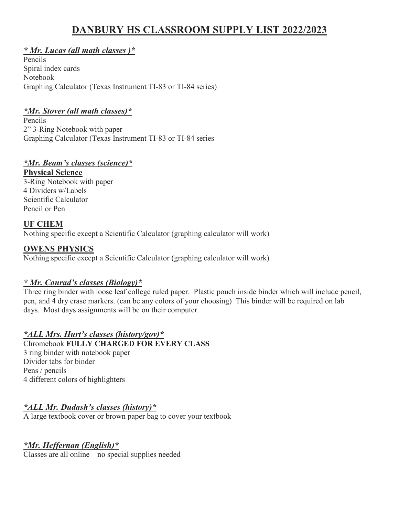# **DANBURY HS CLASSROOM SUPPLY LIST 2022/2023**

# *\* Mr. Lucas (all math classes )\**

Pencils Spiral index cards Notebook Graphing Calculator (Texas Instrument TI-83 or TI-84 series)

# *\*Mr. Stover (all math classes)\**

Pencils 2" 3-Ring Notebook with paper Graphing Calculator (Texas Instrument TI-83 or TI-84 series

# *\*Mr. Beam's classes (science)\**

## **Physical Science**

3-Ring Notebook with paper 4 Dividers w/Labels Scientific Calculator Pencil or Pen

## **UF CHEM**

Nothing specific except a Scientific Calculator (graphing calculator will work)

# **OWENS PHYSICS**

Nothing specific except a Scientific Calculator (graphing calculator will work)

## *\* Mr. Conrad's classes (Biology)\**

Three ring binder with loose leaf college ruled paper. Plastic pouch inside binder which will include pencil, pen, and 4 dry erase markers. (can be any colors of your choosing) This binder will be required on lab days. Most days assignments will be on their computer.

# *\*ALL Mrs. Hurt's classes (history/gov)\**

Chromebook **FULLY CHARGED FOR EVERY CLASS**

3 ring binder with notebook paper Divider tabs for binder Pens / pencils 4 different colors of highlighters

# *\*ALL Mr. Dudash's classes (history)\**

A large textbook cover or brown paper bag to cover your textbook

# *\*Mr. Heffernan (English)\**

Classes are all online—no special supplies needed